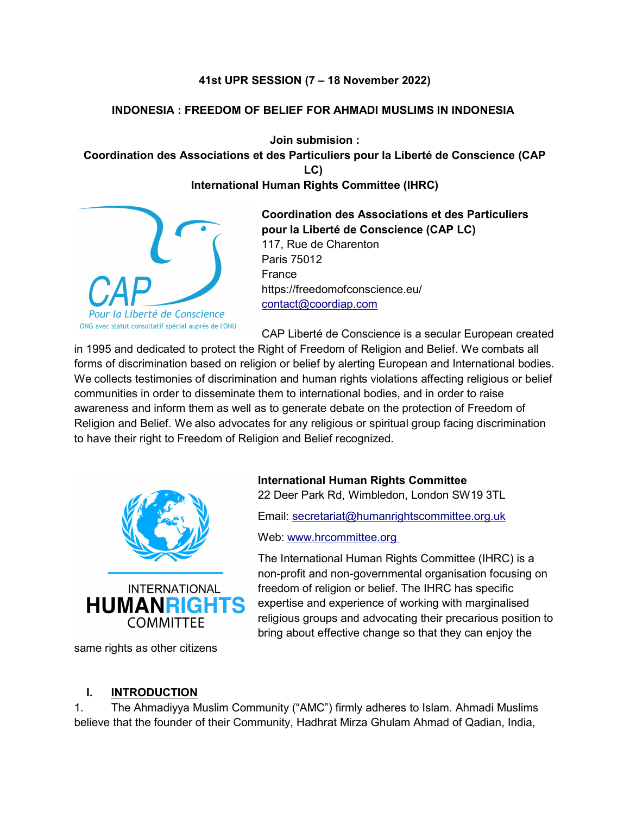### 41st UPR SESSION (7 – 18 November 2022)

### INDONESIA : FREEDOM OF BELIEF FOR AHMADI MUSLIMS IN INDONESIA

Join submision : Coordination des Associations et des Particuliers pour la Liberté de Conscience (CAP LC) International Human Rights Committee (IHRC)

la Liberté de Conscience ONG avec statut consultatif spécial auprès de l'ONU

Coordination des Associations et des Particuliers pour la Liberté de Conscience (CAP LC) 117, Rue de Charenton Paris 75012 France https://freedomofconscience.eu/ contact@coordiap.com

CAP Liberté de Conscience is a secular European created in 1995 and dedicated to protect the Right of Freedom of Religion and Belief. We combats all forms of discrimination based on religion or belief by alerting European and International bodies. We collects testimonies of discrimination and human rights violations affecting religious or belief communities in order to disseminate them to international bodies, and in order to raise awareness and inform them as well as to generate debate on the protection of Freedom of Religion and Belief. We also advocates for any religious or spiritual group facing discrimination to have their right to Freedom of Religion and Belief recognized.



same rights as other citizens

International Human Rights Committee

22 Deer Park Rd, Wimbledon, London SW19 3TL

Email: secretariat@humanrightscommittee.org.uk

Web: www.hrcommittee.org

The International Human Rights Committee (IHRC) is a non-profit and non-governmental organisation focusing on freedom of religion or belief. The IHRC has specific expertise and experience of working with marginalised religious groups and advocating their precarious position to bring about effective change so that they can enjoy the

#### I. INTRODUCTION

1. The Ahmadiyya Muslim Community ("AMC") firmly adheres to Islam. Ahmadi Muslims believe that the founder of their Community, Hadhrat Mirza Ghulam Ahmad of Qadian, India,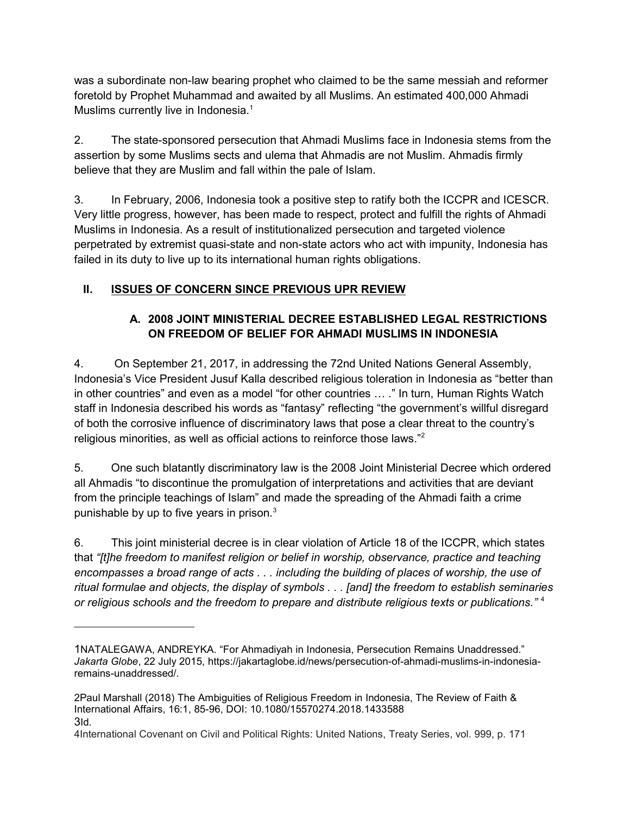was a subordinate non-law bearing prophet who claimed to be the same messiah and reformer foretold by Prophet Muhammad and awaited by all Muslims. An estimated 400,000 Ahmadi Muslims currently live in Indonesia.<sup>1</sup>

2. The state-sponsored persecution that Ahmadi Muslims face in Indonesia stems from the assertion by some Muslims sects and ulema that Ahmadis are not Muslim. Ahmadis firmly believe that they are Muslim and fall within the pale of Islam.

3. In February, 2006, Indonesia took a positive step to ratify both the ICCPR and ICESCR. Very little progress, however, has been made to respect, protect and fulfill the rights of Ahmadi Muslims in Indonesia. As a result of institutionalized persecution and targeted violence perpetrated by extremist quasi-state and non-state actors who act with impunity, Indonesia has failed in its duty to live up to its international human rights obligations.

# II. ISSUES OF CONCERN SINCE PREVIOUS UPR REVIEW

# A. 2008 JOINT MINISTERIAL DECREE ESTABLISHED LEGAL RESTRICTIONS ON FREEDOM OF BELIEF FOR AHMADI MUSLIMS IN INDONESIA

4. On September 21, 2017, in addressing the 72nd United Nations General Assembly, Indonesia's Vice President Jusuf Kalla described religious toleration in Indonesia as "better than in other countries" and even as a model "for other countries … ." In turn, Human Rights Watch staff in Indonesia described his words as "fantasy" reflecting "the government's willful disregard of both the corrosive influence of discriminatory laws that pose a clear threat to the country's religious minorities, as well as official actions to reinforce those laws."<sup>2</sup>

5. One such blatantly discriminatory law is the 2008 Joint Ministerial Decree which ordered all Ahmadis "to discontinue the promulgation of interpretations and activities that are deviant from the principle teachings of Islam" and made the spreading of the Ahmadi faith a crime punishable by up to five years in prison.<sup>3</sup>

6. This joint ministerial decree is in clear violation of Article 18 of the ICCPR, which states that "[t]he freedom to manifest religion or belief in worship, observance, practice and teaching encompasses a broad range of acts . . . including the building of places of worship, the use of ritual formulae and objects, the display of symbols . . . [and] the freedom to establish seminaries or religious schools and the freedom to prepare and distribute religious texts or publications."<sup>4</sup>

<sup>1</sup>NATALEGAWA, ANDREYKA. "For Ahmadiyah in Indonesia, Persecution Remains Unaddressed." Jakarta Globe, 22 July 2015, https://jakartaglobe.id/news/persecution-of-ahmadi-muslims-in-indonesiaremains-unaddressed/.

<sup>2</sup>Paul Marshall (2018) The Ambiguities of Religious Freedom in Indonesia, The Review of Faith & International Affairs, 16:1, 85-96, DOI: 10.1080/15570274.2018.1433588 3Id.

<sup>4</sup>International Covenant on Civil and Political Rights: United Nations, Treaty Series, vol. 999, p. 171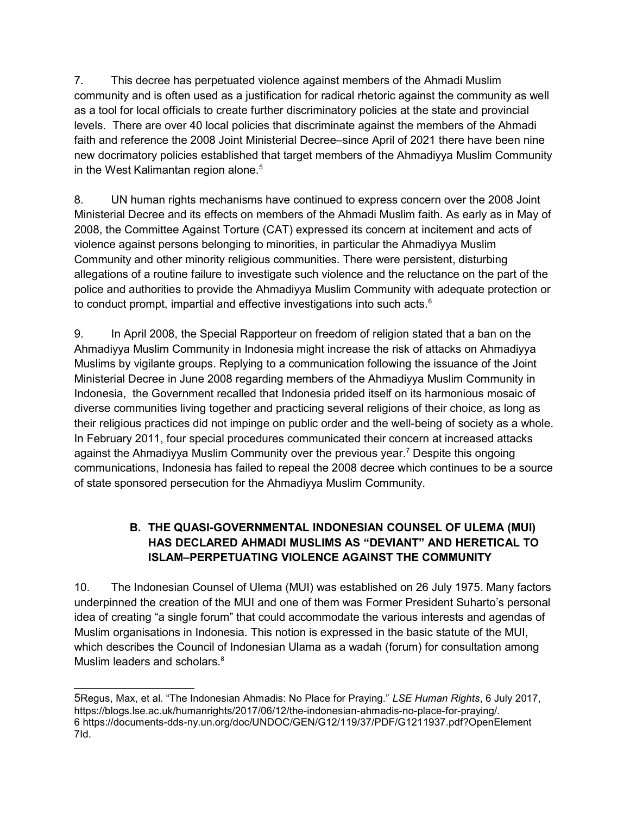7. This decree has perpetuated violence against members of the Ahmadi Muslim community and is often used as a justification for radical rhetoric against the community as well as a tool for local officials to create further discriminatory policies at the state and provincial levels. There are over 40 local policies that discriminate against the members of the Ahmadi faith and reference the 2008 Joint Ministerial Decree–since April of 2021 there have been nine new docrimatory policies established that target members of the Ahmadiyya Muslim Community in the West Kalimantan region alone.<sup>5</sup>

8. UN human rights mechanisms have continued to express concern over the 2008 Joint Ministerial Decree and its effects on members of the Ahmadi Muslim faith. As early as in May of 2008, the Committee Against Torture (CAT) expressed its concern at incitement and acts of violence against persons belonging to minorities, in particular the Ahmadiyya Muslim Community and other minority religious communities. There were persistent, disturbing allegations of a routine failure to investigate such violence and the reluctance on the part of the police and authorities to provide the Ahmadiyya Muslim Community with adequate protection or to conduct prompt, impartial and effective investigations into such acts.<sup>6</sup>

9. In April 2008, the Special Rapporteur on freedom of religion stated that a ban on the Ahmadiyya Muslim Community in Indonesia might increase the risk of attacks on Ahmadiyya Muslims by vigilante groups. Replying to a communication following the issuance of the Joint Ministerial Decree in June 2008 regarding members of the Ahmadiyya Muslim Community in Indonesia, the Government recalled that Indonesia prided itself on its harmonious mosaic of diverse communities living together and practicing several religions of their choice, as long as their religious practices did not impinge on public order and the well-being of society as a whole. In February 2011, four special procedures communicated their concern at increased attacks against the Ahmadiyya Muslim Community over the previous year.<sup>7</sup> Despite this ongoing communications, Indonesia has failed to repeal the 2008 decree which continues to be a source of state sponsored persecution for the Ahmadiyya Muslim Community.

## B. THE QUASI-GOVERNMENTAL INDONESIAN COUNSEL OF ULEMA (MUI) HAS DECLARED AHMADI MUSLIMS AS "DEVIANT" AND HERETICAL TO ISLAM–PERPETUATING VIOLENCE AGAINST THE COMMUNITY

10. The Indonesian Counsel of Ulema (MUI) was established on 26 July 1975. Many factors underpinned the creation of the MUI and one of them was Former President Suharto's personal idea of creating "a single forum" that could accommodate the various interests and agendas of Muslim organisations in Indonesia. This notion is expressed in the basic statute of the MUI, which describes the Council of Indonesian Ulama as a wadah (forum) for consultation among Muslim leaders and scholars.<sup>8</sup>

<sup>5</sup>Regus, Max, et al. "The Indonesian Ahmadis: No Place for Praying." LSE Human Rights, 6 July 2017, https://blogs.lse.ac.uk/humanrights/2017/06/12/the-indonesian-ahmadis-no-place-for-praying/. 6 https://documents-dds-ny.un.org/doc/UNDOC/GEN/G12/119/37/PDF/G1211937.pdf?OpenElement 7Id.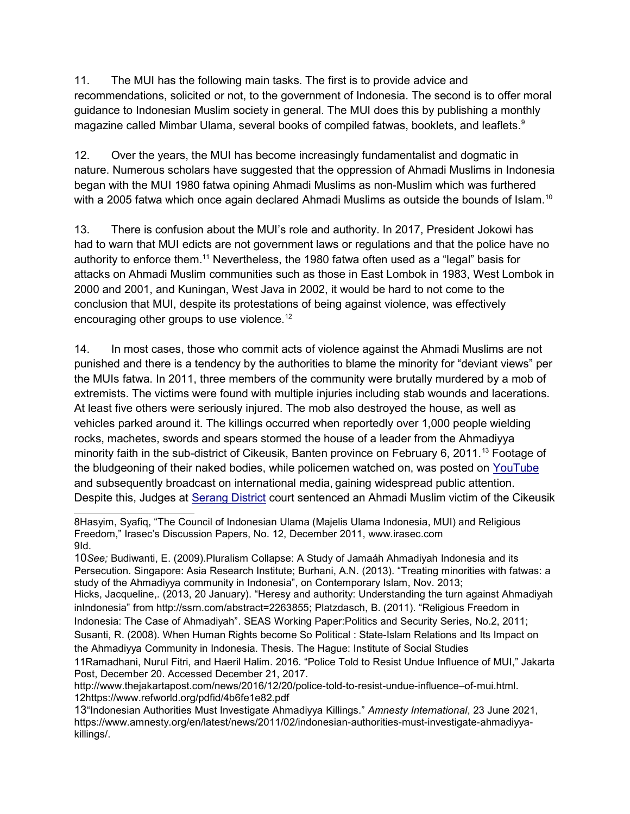11. The MUI has the following main tasks. The first is to provide advice and recommendations, solicited or not, to the government of Indonesia. The second is to offer moral guidance to Indonesian Muslim society in general. The MUI does this by publishing a monthly magazine called Mimbar Ulama, several books of compiled fatwas, booklets, and leaflets. $^9$ 

12. Over the years, the MUI has become increasingly fundamentalist and dogmatic in nature. Numerous scholars have suggested that the oppression of Ahmadi Muslims in Indonesia began with the MUI 1980 fatwa opining Ahmadi Muslims as non-Muslim which was furthered with a 2005 fatwa which once again declared Ahmadi Muslims as outside the bounds of Islam.<sup>10</sup>

13. There is confusion about the MUI's role and authority. In 2017, President Jokowi has had to warn that MUI edicts are not government laws or regulations and that the police have no authority to enforce them.<sup>11</sup> Nevertheless, the 1980 fatwa often used as a "legal" basis for attacks on Ahmadi Muslim communities such as those in East Lombok in 1983, West Lombok in 2000 and 2001, and Kuningan, West Java in 2002, it would be hard to not come to the conclusion that MUI, despite its protestations of being against violence, was effectively encouraging other groups to use violence.<sup>12</sup>

14. In most cases, those who commit acts of violence against the Ahmadi Muslims are not punished and there is a tendency by the authorities to blame the minority for "deviant views" per the MUIs fatwa. In 2011, three members of the community were brutally murdered by a mob of extremists. The victims were found with multiple injuries including stab wounds and lacerations. At least five others were seriously injured. The mob also destroyed the house, as well as vehicles parked around it. The killings occurred when reportedly over 1,000 people wielding rocks, machetes, swords and spears stormed the house of a leader from the Ahmadiyya minority faith in the sub-district of Cikeusik, Banten province on February 6, 2011.<sup>13</sup> Footage of the bludgeoning of their naked bodies, while policemen watched on, was posted on YouTube and subsequently broadcast on international media, gaining widespread public attention. Despite this, Judges at Serang District court sentenced an Ahmadi Muslim victim of the Cikeusik

<sup>8</sup>Hasyim, Syafiq, "The Council of Indonesian Ulama (Majelis Ulama Indonesia, MUI) and Religious Freedom," Irasec's Discussion Papers, No. 12, December 2011, www.irasec.com 9Id.

<sup>10</sup>See; Budiwanti, E. (2009).Pluralism Collapse: A Study of Jamaáh Ahmadiyah Indonesia and its Persecution. Singapore: Asia Research Institute; Burhani, A.N. (2013). "Treating minorities with fatwas: a study of the Ahmadiyya community in Indonesia", on Contemporary Islam, Nov. 2013; Hicks, Jacqueline,. (2013, 20 January). "Heresy and authority: Understanding the turn against Ahmadiyah inIndonesia" from http://ssrn.com/abstract=2263855; Platzdasch, B. (2011). "Religious Freedom in Indonesia: The Case of Ahmadiyah". SEAS Working Paper:Politics and Security Series, No.2, 2011;

Susanti, R. (2008). When Human Rights become So Political : State-Islam Relations and Its Impact on the Ahmadiyya Community in Indonesia. Thesis. The Hague: Institute of Social Studies

<sup>11</sup>Ramadhani, Nurul Fitri, and Haeril Halim. 2016. "Police Told to Resist Undue Influence of MUI," Jakarta Post, December 20. Accessed December 21, 2017.

http://www.thejakartapost.com/news/2016/12/20/police-told-to-resist-undue-influence–of-mui.html. 12https://www.refworld.org/pdfid/4b6fe1e82.pdf

<sup>13</sup>"Indonesian Authorities Must Investigate Ahmadiyya Killings." Amnesty International, 23 June 2021, https://www.amnesty.org/en/latest/news/2011/02/indonesian-authorities-must-investigate-ahmadiyyakillings/.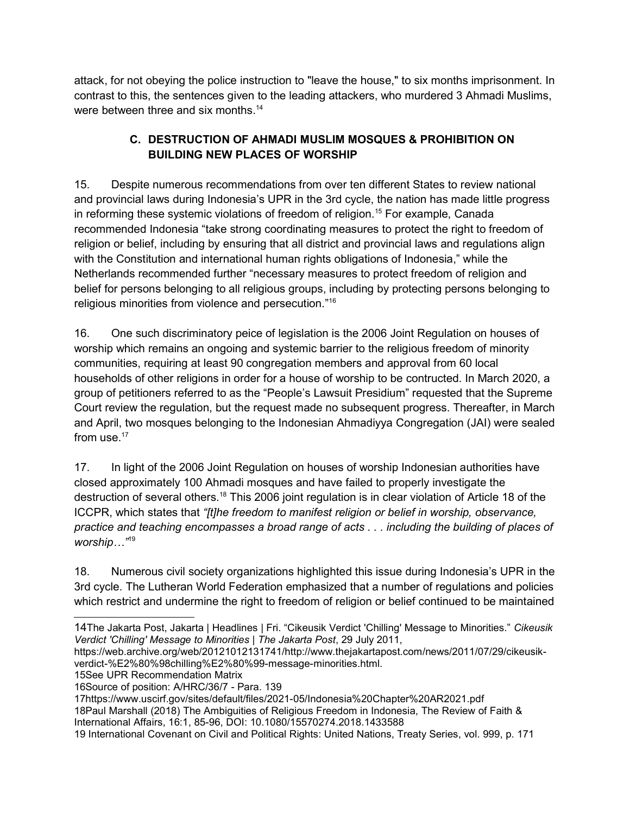attack, for not obeying the police instruction to "leave the house," to six months imprisonment. In contrast to this, the sentences given to the leading attackers, who murdered 3 Ahmadi Muslims, were between three and six months.<sup>14</sup>

# C. DESTRUCTION OF AHMADI MUSLIM MOSQUES & PROHIBITION ON BUILDING NEW PLACES OF WORSHIP

15. Despite numerous recommendations from over ten different States to review national and provincial laws during Indonesia's UPR in the 3rd cycle, the nation has made little progress in reforming these systemic violations of freedom of religion.<sup>15</sup> For example, Canada recommended Indonesia "take strong coordinating measures to protect the right to freedom of religion or belief, including by ensuring that all district and provincial laws and regulations align with the Constitution and international human rights obligations of Indonesia," while the Netherlands recommended further "necessary measures to protect freedom of religion and belief for persons belonging to all religious groups, including by protecting persons belonging to religious minorities from violence and persecution."<sup>16</sup>

16. One such discriminatory peice of legislation is the 2006 Joint Regulation on houses of worship which remains an ongoing and systemic barrier to the religious freedom of minority communities, requiring at least 90 congregation members and approval from 60 local households of other religions in order for a house of worship to be contructed. In March 2020, a group of petitioners referred to as the "People's Lawsuit Presidium" requested that the Supreme Court review the regulation, but the request made no subsequent progress. Thereafter, in March and April, two mosques belonging to the Indonesian Ahmadiyya Congregation (JAI) were sealed from use.<sup>17</sup>

17. In light of the 2006 Joint Regulation on houses of worship Indonesian authorities have closed approximately 100 Ahmadi mosques and have failed to properly investigate the destruction of several others.<sup>18</sup> This 2006 joint regulation is in clear violation of Article 18 of the ICCPR, which states that "[t]he freedom to manifest religion or belief in worship, observance, practice and teaching encompasses a broad range of acts . . . including the building of places of worship..."<sup>19</sup>

18. Numerous civil society organizations highlighted this issue during Indonesia's UPR in the 3rd cycle. The Lutheran World Federation emphasized that a number of regulations and policies which restrict and undermine the right to freedom of religion or belief continued to be maintained

15See UPR Recommendation Matrix

18Paul Marshall (2018) The Ambiguities of Religious Freedom in Indonesia, The Review of Faith & International Affairs, 16:1, 85-96, DOI: 10.1080/15570274.2018.1433588

<sup>14</sup>The Jakarta Post, Jakarta | Headlines | Fri. "Cikeusik Verdict 'Chilling' Message to Minorities." Cikeusik Verdict 'Chilling' Message to Minorities | The Jakarta Post, 29 July 2011,

https://web.archive.org/web/20121012131741/http://www.thejakartapost.com/news/2011/07/29/cikeusikverdict-%E2%80%98chilling%E2%80%99-message-minorities.html.

<sup>16</sup>Source of position: A/HRC/36/7 - Para. 139

<sup>17</sup>https://www.uscirf.gov/sites/default/files/2021-05/Indonesia%20Chapter%20AR2021.pdf

<sup>19</sup> International Covenant on Civil and Political Rights: United Nations, Treaty Series, vol. 999, p. 171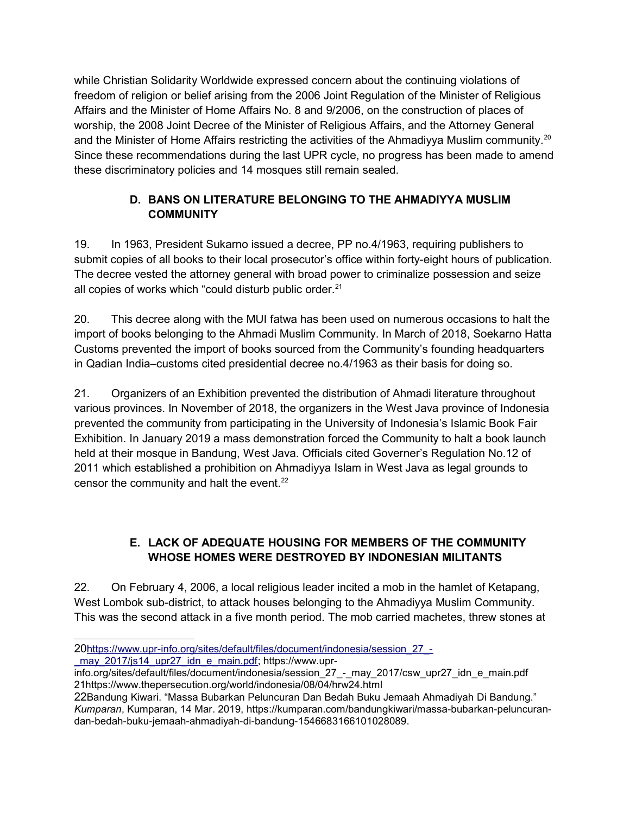while Christian Solidarity Worldwide expressed concern about the continuing violations of freedom of religion or belief arising from the 2006 Joint Regulation of the Minister of Religious Affairs and the Minister of Home Affairs No. 8 and 9/2006, on the construction of places of worship, the 2008 Joint Decree of the Minister of Religious Affairs, and the Attorney General and the Minister of Home Affairs restricting the activities of the Ahmadiyya Muslim community.<sup>20</sup> Since these recommendations during the last UPR cycle, no progress has been made to amend these discriminatory policies and 14 mosques still remain sealed.

## D. BANS ON LITERATURE BELONGING TO THE AHMADIYYA MUSLIM **COMMUNITY**

19. In 1963, President Sukarno issued a decree, PP no.4/1963, requiring publishers to submit copies of all books to their local prosecutor's office within forty-eight hours of publication. The decree vested the attorney general with broad power to criminalize possession and seize all copies of works which "could disturb public order.<sup>21</sup>

20. This decree along with the MUI fatwa has been used on numerous occasions to halt the import of books belonging to the Ahmadi Muslim Community. In March of 2018, Soekarno Hatta Customs prevented the import of books sourced from the Community's founding headquarters in Qadian India–customs cited presidential decree no.4/1963 as their basis for doing so.

21. Organizers of an Exhibition prevented the distribution of Ahmadi literature throughout various provinces. In November of 2018, the organizers in the West Java province of Indonesia prevented the community from participating in the University of Indonesia's Islamic Book Fair Exhibition. In January 2019 a mass demonstration forced the Community to halt a book launch held at their mosque in Bandung, West Java. Officials cited Governer's Regulation No.12 of 2011 which established a prohibition on Ahmadiyya Islam in West Java as legal grounds to censor the community and halt the event.<sup>22</sup>

# E. LACK OF ADEQUATE HOUSING FOR MEMBERS OF THE COMMUNITY WHOSE HOMES WERE DESTROYED BY INDONESIAN MILITANTS

22. On February 4, 2006, a local religious leader incited a mob in the hamlet of Ketapang, West Lombok sub-district, to attack houses belonging to the Ahmadiyya Muslim Community. This was the second attack in a five month period. The mob carried machetes, threw stones at

may 2017/js14 upr27 idn e main.pdf; https://www.upr-

<sup>20</sup>https://www.upr-info.org/sites/default/files/document/indonesia/session\_27\_-

info.org/sites/default/files/document/indonesia/session\_27\_-\_may\_2017/csw\_upr27\_idn\_e\_main.pdf 21https://www.thepersecution.org/world/indonesia/08/04/hrw24.html

<sup>22</sup>Bandung Kiwari. "Massa Bubarkan Peluncuran Dan Bedah Buku Jemaah Ahmadiyah Di Bandung." Kumparan, Kumparan, 14 Mar. 2019, https://kumparan.com/bandungkiwari/massa-bubarkan-peluncurandan-bedah-buku-jemaah-ahmadiyah-di-bandung-1546683166101028089.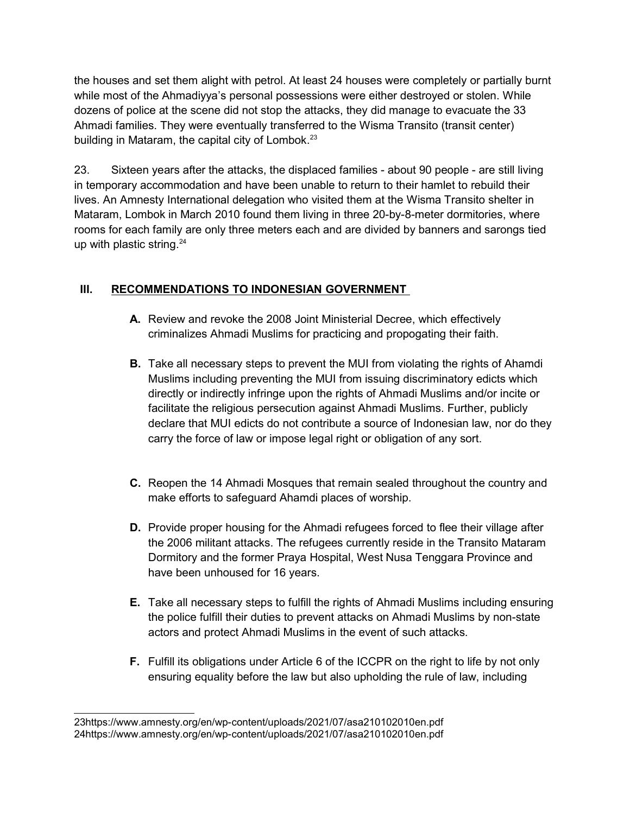the houses and set them alight with petrol. At least 24 houses were completely or partially burnt while most of the Ahmadiyya's personal possessions were either destroyed or stolen. While dozens of police at the scene did not stop the attacks, they did manage to evacuate the 33 Ahmadi families. They were eventually transferred to the Wisma Transito (transit center) building in Mataram, the capital city of Lombok.<sup>23</sup>

23. Sixteen years after the attacks, the displaced families - about 90 people - are still living in temporary accommodation and have been unable to return to their hamlet to rebuild their lives. An Amnesty International delegation who visited them at the Wisma Transito shelter in Mataram, Lombok in March 2010 found them living in three 20-by-8-meter dormitories, where rooms for each family are only three meters each and are divided by banners and sarongs tied up with plastic string. $24$ 

### III. RECOMMENDATIONS TO INDONESIAN GOVERNMENT

- A. Review and revoke the 2008 Joint Ministerial Decree, which effectively criminalizes Ahmadi Muslims for practicing and propogating their faith.
- **B.** Take all necessary steps to prevent the MUI from violating the rights of Ahamdi Muslims including preventing the MUI from issuing discriminatory edicts which directly or indirectly infringe upon the rights of Ahmadi Muslims and/or incite or facilitate the religious persecution against Ahmadi Muslims. Further, publicly declare that MUI edicts do not contribute a source of Indonesian law, nor do they carry the force of law or impose legal right or obligation of any sort.
- C. Reopen the 14 Ahmadi Mosques that remain sealed throughout the country and make efforts to safeguard Ahamdi places of worship.
- D. Provide proper housing for the Ahmadi refugees forced to flee their village after the 2006 militant attacks. The refugees currently reside in the Transito Mataram Dormitory and the former Praya Hospital, West Nusa Tenggara Province and have been unhoused for 16 years.
- E. Take all necessary steps to fulfill the rights of Ahmadi Muslims including ensuring the police fulfill their duties to prevent attacks on Ahmadi Muslims by non-state actors and protect Ahmadi Muslims in the event of such attacks.
- F. Fulfill its obligations under Article 6 of the ICCPR on the right to life by not only ensuring equality before the law but also upholding the rule of law, including

<sup>23</sup>https://www.amnesty.org/en/wp-content/uploads/2021/07/asa210102010en.pdf 24https://www.amnesty.org/en/wp-content/uploads/2021/07/asa210102010en.pdf